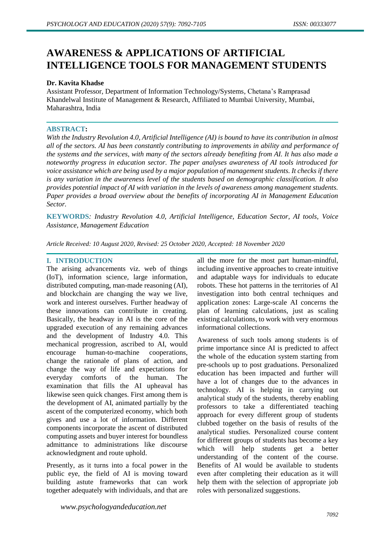# **AWARENESS & APPLICATIONS OF ARTIFICIAL INTELLIGENCE TOOLS FOR MANAGEMENT STUDENTS**

### **Dr. Kavita Khadse**

Assistant Professor, Department of Information Technology/Systems, Chetana's Ramprasad Khandelwal Institute of Management & Research, Affiliated to Mumbai University, Mumbai, Maharashtra, India

### **ABSTRACT:**

*With the Industry Revolution 4.0, Artificial Intelligence (AI) is bound to have its contribution in almost all of the sectors. AI has been constantly contributing to improvements in ability and performance of the systems and the services, with many of the sectors already benefiting from AI. It has also made a noteworthy progress in education sector. The paper analyses awareness of AI tools introduced for voice assistance which are being used by a major population of management students. It checks if there is any variation in the awareness level of the students based on demographic classification. It also provides potential impact of AI with variation in the levels of awareness among management students. Paper provides a broad overview about the benefits of incorporating AI in Management Education Sector.*

**KEYWORDS***: Industry Revolution 4.0, Artificial Intelligence, Education Sector, AI tools, Voice Assistance, Management Education*

*Article Received: 10 August 2020, Revised: 25 October 2020, Accepted: 18 November 2020*

# **I. INTRODUCTION**

The arising advancements viz. web of things (IoT), information science, large information, distributed computing, man-made reasoning (AI), and blockchain are changing the way we live, work and interest ourselves. Further headway of these innovations can contribute in creating. Basically, the headway in AI is the core of the upgraded execution of any remaining advances and the development of Industry 4.0. This mechanical progression, ascribed to AI, would encourage human-to-machine cooperations, change the rationale of plans of action, and change the way of life and expectations for everyday comforts of the human. The examination that fills the AI upheaval has likewise seen quick changes. First among them is the development of AI, animated partially by the ascent of the computerized economy, which both gives and use a lot of information. Different components incorporate the ascent of distributed computing assets and buyer interest for boundless admittance to administrations like discourse acknowledgment and route uphold.

Presently, as it turns into a focal power in the public eye, the field of AI is moving toward building astute frameworks that can work together adequately with individuals, and that are all the more for the most part human-mindful, including inventive approaches to create intuitive and adaptable ways for individuals to educate robots. These hot patterns in the territories of AI investigation into both central techniques and application zones: Large-scale AI concerns the plan of learning calculations, just as scaling existing calculations, to work with very enormous informational collections.

Awareness of such tools among students is of prime importance since AI is predicted to affect the whole of the education system starting from pre-schools up to post graduations. Personalized education has been impacted and further will have a lot of changes due to the advances in technology. AI is helping in carrying out analytical study of the students, thereby enabling professors to take a differentiated teaching approach for every different group of students clubbed together on the basis of results of the analytical studies. Personalized course content for different groups of students has become a key which will help students get a better understanding of the content of the course. Benefits of AI would be available to students even after completing their education as it will help them with the selection of appropriate job roles with personalized suggestions.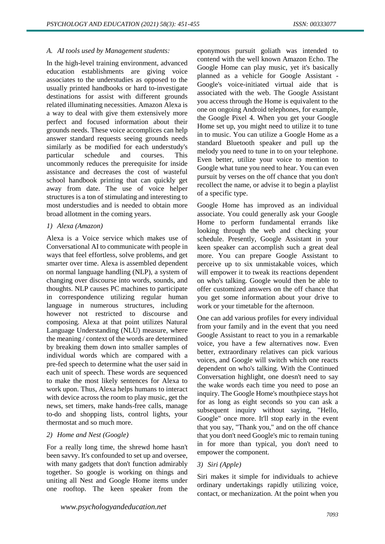### *A. AI tools used by Management students:*

In the high-level training environment, advanced education establishments are giving voice associates to the understudies as opposed to the usually printed handbooks or hard to-investigate destinations for assist with different grounds related illuminating necessities. Amazon Alexa is a way to deal with give them extensively more perfect and focused information about their grounds needs. These voice accomplices can help answer standard requests seeing grounds needs similarly as be modified for each understudy's particular schedule and courses. This uncommonly reduces the prerequisite for inside assistance and decreases the cost of wasteful school handbook printing that can quickly get away from date. The use of voice helper structures is a ton of stimulating and interesting to most understudies and is needed to obtain more broad allotment in the coming years.

### *1) Alexa (Amazon)*

Alexa is a Voice service which makes use of Conversational AI to communicate with people in ways that feel effortless, solve problems, and get smarter over time. Alexa is assembled dependent on normal language handling (NLP), a system of changing over discourse into words, sounds, and thoughts. NLP causes PC machines to participate in correspondence utilizing regular human language in numerous structures, including however not restricted to discourse and composing. Alexa at that point utilizes Natural Language Understanding (NLU) measure, where the meaning / context of the words are determined by breaking them down into smaller samples of individual words which are compared with a pre-fed speech to determine what the user said in each unit of speech. These words are sequenced to make the most likely sentences for Alexa to work upon. Thus, Alexa helps humans to interact with device across the room to play music, get the news, set timers, make hands-free calls, manage to-do and shopping lists, control lights, your thermostat and so much more.

### *2) Home and Nest (Google)*

For a really long time, the shrewd home hasn't been savvy. It's confounded to set up and oversee, with many gadgets that don't function admirably together. So google is working on things and uniting all Nest and Google Home items under one rooftop. The keen speaker from the eponymous pursuit goliath was intended to contend with the well known Amazon Echo. The Google Home can play music, yet it's basically planned as a vehicle for Google Assistant - Google's voice-initiated virtual aide that is associated with the web. The Google Assistant you access through the Home is equivalent to the one on ongoing Android telephones, for example, the Google Pixel 4. When you get your Google Home set up, you might need to utilize it to tune in to music. You can utilize a Google Home as a standard Bluetooth speaker and pull up the melody you need to tune in to on your telephone. Even better, utilize your voice to mention to Google what tune you need to hear. You can even pursuit by verses on the off chance that you don't recollect the name, or advise it to begin a playlist of a specific type.

Google Home has improved as an individual associate. You could generally ask your Google Home to perform fundamental errands like looking through the web and checking your schedule. Presently, Google Assistant in your keen speaker can accomplish such a great deal more. You can prepare Google Assistant to perceive up to six unmistakable voices, which will empower it to tweak its reactions dependent on who's talking. Google would then be able to offer customized answers on the off chance that you get some information about your drive to work or your timetable for the afternoon.

One can add various profiles for every individual from your family and in the event that you need Google Assistant to react to you in a remarkable voice, you have a few alternatives now. Even better, extraordinary relatives can pick various voices, and Google will switch which one reacts dependent on who's talking. With the Continued Conversation highlight, one doesn't need to say the wake words each time you need to pose an inquiry. The Google Home's mouthpiece stays hot for as long as eight seconds so you can ask a subsequent inquiry without saying, "Hello, Google" once more. It'll stop early in the event that you say, "Thank you," and on the off chance that you don't need Google's mic to remain tuning in for more than typical, you don't need to empower the component.

# *3) Siri (Apple)*

Siri makes it simple for individuals to achieve ordinary undertakings rapidly utilizing voice, contact, or mechanization. At the point when you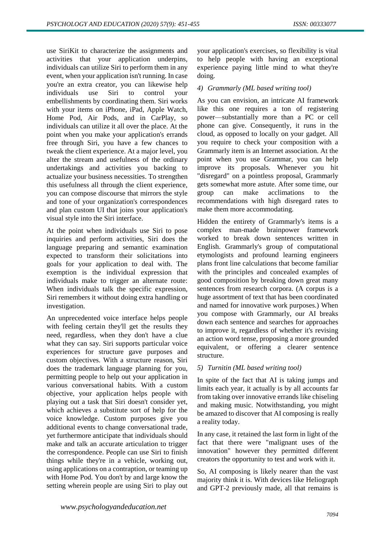use SiriKit to characterize the assignments and activities that your application underpins, individuals can utilize Siri to perform them in any event, when your application isn't running. In case you're an extra creator, you can likewise help individuals use Siri to control your embellishments by coordinating them. Siri works with your items on iPhone, iPad, Apple Watch, Home Pod, Air Pods, and in CarPlay, so individuals can utilize it all over the place. At the point when you make your application's errands free through Siri, you have a few chances to tweak the client experience. At a major level, you alter the stream and usefulness of the ordinary undertakings and activities you backing to actualize your business necessities. To strengthen this usefulness all through the client experience, you can compose discourse that mirrors the style and tone of your organization's correspondences and plan custom UI that joins your application's visual style into the Siri interface.

At the point when individuals use Siri to pose inquiries and perform activities, Siri does the language preparing and semantic examination expected to transform their solicitations into goals for your application to deal with. The exemption is the individual expression that individuals make to trigger an alternate route: When individuals talk the specific expression, Siri remembers it without doing extra handling or investigation.

An unprecedented voice interface helps people with feeling certain they'll get the results they need, regardless, when they don't have a clue what they can say. Siri supports particular voice experiences for structure gave purposes and custom objectives. With a structure reason, Siri does the trademark language planning for you, permitting people to help out your application in various conversational habits. With a custom objective, your application helps people with playing out a task that Siri doesn't consider yet, which achieves a substitute sort of help for the voice knowledge. Custom purposes give you additional events to change conversational trade, yet furthermore anticipate that individuals should make and talk an accurate articulation to trigger the correspondence. People can use Siri to finish things while they're in a vehicle, working out, using applications on a contraption, or teaming up with Home Pod. You don't by and large know the setting wherein people are using Siri to play out your application's exercises, so flexibility is vital to help people with having an exceptional experience paying little mind to what they're doing.

# *4) Grammarly (ML based writing tool)*

As you can envision, an intricate AI framework like this one requires a ton of registering power—substantially more than a PC or cell phone can give. Consequently, it runs in the cloud, as opposed to locally on your gadget. All you require to check your composition with a Grammarly item is an Internet association. At the point when you use Grammar, you can help improve its proposals. Whenever you hit "disregard" on a pointless proposal, Grammarly gets somewhat more astute. After some time, our group can make acclimations to the recommendations with high disregard rates to make them more accommodating.

Hidden the entirety of Grammarly's items is a complex man-made brainpower framework worked to break down sentences written in English. Grammarly's group of computational etymologists and profound learning engineers plans front line calculations that become familiar with the principles and concealed examples of good composition by breaking down great many sentences from research corpora. (A corpus is a huge assortment of text that has been coordinated and named for innovative work purposes.) When you compose with Grammarly, our AI breaks down each sentence and searches for approaches to improve it, regardless of whether it's revising an action word tense, proposing a more grounded equivalent, or offering a clearer sentence structure.

# *5) Turnitin (ML based writing tool)*

In spite of the fact that AI is taking jumps and limits each year, it actually is by all accounts far from taking over innovative errands like chiseling and making music. Notwithstanding, you might be amazed to discover that AI composing is really a reality today.

In any case, it retained the last form in light of the fact that there were "malignant uses of the innovation" however they permitted different creators the opportunity to test and work with it.

So, AI composing is likely nearer than the vast majority think it is. With devices like Heliograph and GPT-2 previously made, all that remains is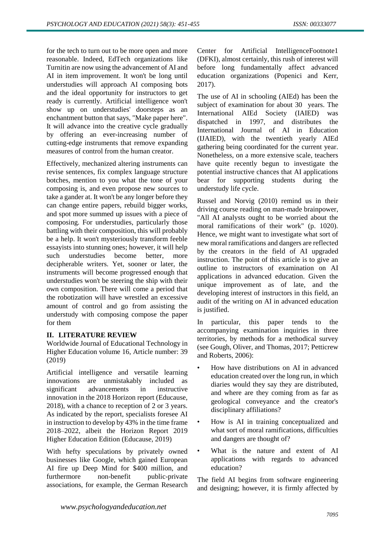for the tech to turn out to be more open and more reasonable. Indeed, EdTech organizations like Turnitin are now using the advancement of AI and AI in item improvement. It won't be long until understudies will approach AI composing bots and the ideal opportunity for instructors to get ready is currently. Artificial intelligence won't show up on understudies' doorsteps as an enchantment button that says, "Make paper here". It will advance into the creative cycle gradually by offering an ever-increasing number of cutting-edge instruments that remove expanding measures of control from the human creator.

Effectively, mechanized altering instruments can revise sentences, fix complex language structure botches, mention to you what the tone of your composing is, and even propose new sources to take a gander at. It won't be any longer before they can change entire papers, rebuild bigger works, and spot more summed up issues with a piece of composing. For understudies, particularly those battling with their composition, this will probably be a help. It won't mysteriously transform feeble essayists into stunning ones; however, it will help such understudies become better, more decipherable writers. Yet, sooner or later, the instruments will become progressed enough that understudies won't be steering the ship with their own composition. There will come a period that the robotization will have wrestled an excessive amount of control and go from assisting the understudy with composing compose the paper for them

# **II. LITERATURE REVIEW**

Worldwide Journal of Educational Technology in Higher Education volume 16, Article number: 39 (2019)

Artificial intelligence and versatile learning innovations are unmistakably included as significant advancements in instructive innovation in the 2018 Horizon report (Educause, 2018), with a chance to reception of 2 or 3 years. As indicated by the report, specialists foresee AI in instruction to develop by 43% in the time frame 2018–2022, albeit the Horizon Report 2019 Higher Education Edition (Educause, 2019)

With hefty speculations by privately owned businesses like Google, which gained European AI fire up Deep Mind for \$400 million, and furthermore non-benefit public-private associations, for example, the German Research

Center for Artificial IntelligenceFootnote1 (DFKI), almost certainly, this rush of interest will before long fundamentally affect advanced education organizations (Popenici and Kerr, 2017).

The use of AI in schooling (AIEd) has been the subject of examination for about 30 years. The International AIEd Society (IAIED) was dispatched in 1997, and distributes the International Journal of AI in Education (IJAIED), with the twentieth yearly AIEd gathering being coordinated for the current year. Nonetheless, on a more extensive scale, teachers have quite recently begun to investigate the potential instructive chances that AI applications bear for supporting students during the understudy life cycle.

Russel and Norvig (2010) remind us in their driving course reading on man-made brainpower, "All AI analysts ought to be worried about the moral ramifications of their work" (p. 1020). Hence, we might want to investigate what sort of new moral ramifications and dangers are reflected by the creators in the field of AI upgraded instruction. The point of this article is to give an outline to instructors of examination on AI applications in advanced education. Given the unique improvement as of late, and the developing interest of instructors in this field, an audit of the writing on AI in advanced education is justified.

In particular, this paper tends to the accompanying examination inquiries in three territories, by methods for a methodical survey (see Gough, Oliver, and Thomas, 2017; Petticrew and Roberts, 2006):

- How have distributions on AI in advanced education created over the long run, in which diaries would they say they are distributed, and where are they coming from as far as geological conveyance and the creator's disciplinary affiliations?
- How is AI in training conceptualized and what sort of moral ramifications, difficulties and dangers are thought of?
- What is the nature and extent of AI applications with regards to advanced education?

The field AI begins from software engineering and designing; however, it is firmly affected by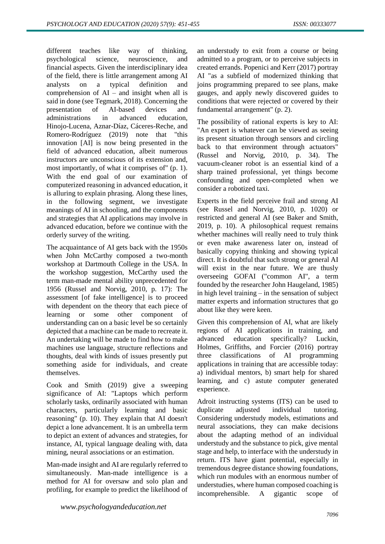different teaches like way of thinking, psychological science, neuroscience, and financial aspects. Given the interdisciplinary idea of the field, there is little arrangement among AI analysts on a typical definition and comprehension of  $AI$  – and insight when all is said in done (see Tegmark, 2018). Concerning the<br>presentation of AI-based devices and presentation of AI-based devices and administrations in advanced education, Hinojo-Lucena, Aznar-Díaz, Cáceres-Reche, and Romero-Rodríguez (2019) note that "this innovation [AI] is now being presented in the field of advanced education, albeit numerous instructors are unconscious of its extension and, most importantly, of what it comprises of" (p. 1). With the end goal of our examination of computerized reasoning in advanced education, it is alluring to explain phrasing. Along these lines, in the following segment, we investigate meanings of AI in schooling, and the components and strategies that AI applications may involve in advanced education, before we continue with the orderly survey of the writing.

The acquaintance of AI gets back with the 1950s when John McCarthy composed a two-month workshop at Dartmouth College in the USA. In the workshop suggestion, McCarthy used the term man-made mental ability unprecedented for 1956 (Russel and Norvig, 2010, p. 17): The assessment [of fake intelligence] is to proceed with dependent on the theory that each piece of learning or some other component of understanding can on a basic level be so certainly depicted that a machine can be made to recreate it. An undertaking will be made to find how to make machines use language, structure reflections and thoughts, deal with kinds of issues presently put something aside for individuals, and create themselves.

Cook and Smith (2019) give a sweeping significance of AI: "Laptops which perform scholarly tasks, ordinarily associated with human characters, particularly learning and basic reasoning" (p. 10). They explain that AI doesn't depict a lone advancement. It is an umbrella term to depict an extent of advances and strategies, for instance, AI, typical language dealing with, data mining, neural associations or an estimation.

Man-made insight and AI are regularly referred to simultaneously. Man-made intelligence is a method for AI for oversaw and solo plan and profiling, for example to predict the likelihood of

an understudy to exit from a course or being admitted to a program, or to perceive subjects in created errands. Popenici and Kerr (2017) portray AI "as a subfield of modernized thinking that joins programming prepared to see plans, make gauges, and apply newly discovered guides to conditions that were rejected or covered by their fundamental arrangement" (p. 2).

The possibility of rational experts is key to AI: "An expert is whatever can be viewed as seeing its present situation through sensors and circling back to that environment through actuators" (Russel and Norvig, 2010, p. 34). The vacuum-cleaner robot is an essential kind of a sharp trained professional, yet things become confounding and open-completed when we consider a robotized taxi.

Experts in the field perceive frail and strong AI (see Russel and Norvig, 2010, p. 1020) or restricted and general AI (see Baker and Smith, 2019, p. 10). A philosophical request remains whether machines will really need to truly think or even make awareness later on, instead of basically copying thinking and showing typical direct. It is doubtful that such strong or general AI will exist in the near future. We are thusly overseeing GOFAI ("common AI", a term founded by the researcher John Haugeland, 1985) in high level training – in the sensation of subject matter experts and information structures that go about like they were keen.

Given this comprehension of AI, what are likely regions of AI applications in training, and advanced education specifically? Luckin, Holmes, Griffiths, and Forcier (2016) portray three classifications of AI programming applications in training that are accessible today: a) individual mentors, b) smart help for shared learning, and c) astute computer generated experience.

Adroit instructing systems (ITS) can be used to duplicate adjusted individual tutoring. Considering understudy models, estimations and neural associations, they can make decisions about the adapting method of an individual understudy and the substance to pick, give mental stage and help, to interface with the understudy in return. ITS have giant potential, especially in tremendous degree distance showing foundations, which run modules with an enormous number of understudies, where human composed coaching is incomprehensible. A gigantic scope of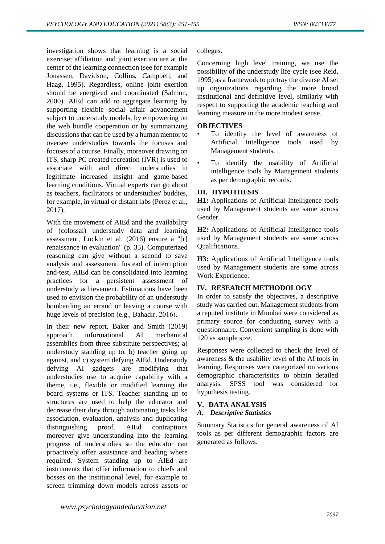investigation shows that learning is a social exercise; affiliation and joint exertion are at the center of the learning connection (see for example Jonassen, Davidson, Collins, Campbell, and Haag, 1995). Regardless, online joint exertion should be energized and coordinated (Salmon, 2000). AIEd can add to aggregate learning by supporting flexible social affair advancement subject to understudy models, by empowering on the web bundle cooperation or by summarizing discussions that can be used by a human mentor to oversee understudies towards the focuses and focuses of a course. Finally, moreover drawing on ITS, sharp PC created recreation (IVR) is used to associate with and direct understudies in legitimate increased insight and game-based learning conditions. Virtual experts can go about as teachers, facilitators or understudies' buddies, for example, in virtual or distant labs (Perez et al., 2017).

With the movement of AIEd and the availability of (colossal) understudy data and learning assessment, Luckin et al. (2016) ensure a "[r] renaissance in evaluation" (p. 35). Computerized reasoning can give without a second to save analysis and assessment. Instead of interruption and-test, AIEd can be consolidated into learning practices for a persistent assessment of understudy achievement. Estimations have been used to envision the probability of an understudy bombarding an errand or leaving a course with huge levels of precision (e.g., Bahadır, 2016).

In their new report, Baker and Smith (2019) approach informational AI mechanical assemblies from three substitute perspectives; a) understudy standing up to, b) teacher going up against, and c) system defying AIEd. Understudy defying AI gadgets are modifying that understudies use to acquire capability with a theme, i.e., flexible or modified learning the board systems or ITS. Teacher standing up to structures are used to help the educator and decrease their duty through automating tasks like association, evaluation, analysis and duplicating distinguishing proof. AIEd contraptions moreover give understanding into the learning progress of understudies so the educator can proactively offer assistance and heading where required. System standing up to AIEd are instruments that offer information to chiefs and bosses on the institutional level, for example to screen trimming down models across assets or

colleges.

Concerning high level training, we use the possibility of the understudy life-cycle (see Reid, 1995) as a framework to portray the diverse AI set up organizations regarding the more broad institutional and definitive level, similarly with respect to supporting the academic teaching and learning measure in the more modest sense.

### **OBJECTIVES**

- To identify the level of awareness of Artificial Intelligence tools used by Management students.
- To identify the usability of Artificial intelligence tools by Management students as per demographic records.

# **III. HYPOTHESIS**

**H1:** Applications of Artificial Intelligence tools used by Management students are same across Gender.

**H2:** Applications of Artificial Intelligence tools used by Management students are same across Qualifications.

**H3:** Applications of Artificial Intelligence tools used by Management students are same across Work Experience.

# **IV. RESEARCH METHODOLOGY**

In order to satisfy the objectives, a descriptive study was carried out. Management students from a reputed institute in Mumbai were considered as primary source for conducting survey with a questionnaire. Convenient sampling is done with 120 as sample size.

Responses were collected to check the level of awareness & the usability level of the AI tools in learning. Responses were categorized on various demographic characteristics to obtain detailed analysis. SPSS tool was considered for hypothesis testing.

# **V. DATA ANALYSIS**

### *A. Descriptive Statistics*

Summary Statistics for general awareness of AI tools as per different demographic factors are generated as follows.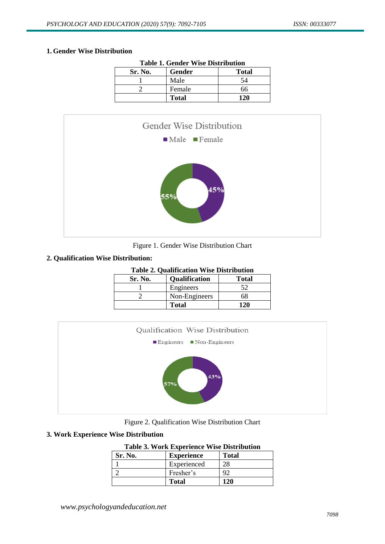# **1. Gender Wise Distribution**

| <b>Table 1. Gender Wise Distribution</b> |              |              |  |  |
|------------------------------------------|--------------|--------------|--|--|
| Sr. No.                                  | Gender       | <b>Total</b> |  |  |
|                                          | Male         | 54           |  |  |
|                                          | Female       | 66           |  |  |
|                                          | <b>Total</b> | 120          |  |  |



# Figure 1. Gender Wise Distribution Chart

# **2. Qualification Wise Distribution:**

|  | <b>Table 2. Qualification Wise Distribution</b> |  |  |
|--|-------------------------------------------------|--|--|
|--|-------------------------------------------------|--|--|

| Sr. No. | <b>Qualification</b> | <b>Total</b> |
|---------|----------------------|--------------|
|         | Engineers            |              |
|         | Non-Engineers        | 68           |
|         | <b>Total</b>         | 171          |



Figure 2. Qualification Wise Distribution Chart

# **3. Work Experience Wise Distribution**

|  |  |  |  | <b>Table 3. Work Experience Wise Distribution</b> |
|--|--|--|--|---------------------------------------------------|
|--|--|--|--|---------------------------------------------------|

| Sr. No. | <b>Experience</b> | <b>Total</b> |
|---------|-------------------|--------------|
|         | Experienced       |              |
|         | Fresher's         |              |
|         | <b>Total</b>      | 120          |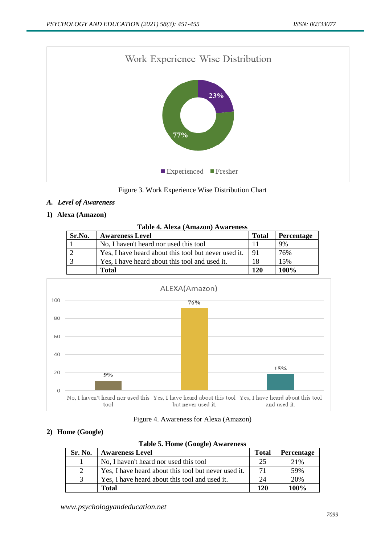

Figure 3. Work Experience Wise Distribution Chart

# *A. Level of Awareness*

# **1) Alexa (Amazon)**

| Table 4. Alexa (Amazon) Awareness |  |
|-----------------------------------|--|
|-----------------------------------|--|

| Sr.No. | <b>Awareness Level</b>                               | <b>Total</b> | Percentage |
|--------|------------------------------------------------------|--------------|------------|
|        | No, I haven't heard nor used this tool               |              | 9%         |
|        | Yes, I have heard about this tool but never used it. | 91           | 76%        |
|        | Yes, I have heard about this tool and used it.       | 18           | 15%        |
|        | <b>Total</b>                                         | 120          | $100\%$    |



### Figure 4. Awareness for Alexa (Amazon)

# **2) Home (Google)**

| Table 5. Home (Google) Awareness |                                                      |              |            |  |  |
|----------------------------------|------------------------------------------------------|--------------|------------|--|--|
| Sr. No.                          | <b>Awareness Level</b>                               | <b>Total</b> | Percentage |  |  |
|                                  | No, I haven't heard nor used this tool               | 25           | 21%        |  |  |
| 2                                | Yes, I have heard about this tool but never used it. | 71           | 59%        |  |  |
| 3                                | Yes, I have heard about this tool and used it.       | 24           | 20%        |  |  |
|                                  | <b>Total</b>                                         | 120          | 100%       |  |  |

**Table 5. Home (Google) Awareness**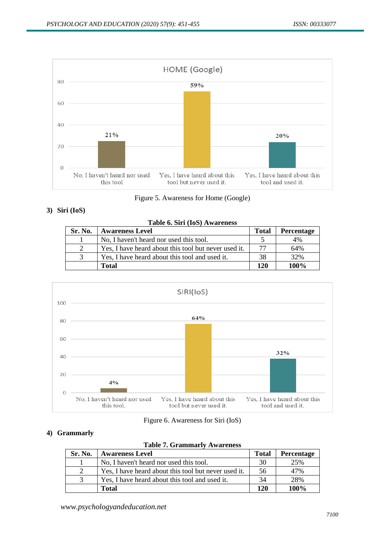

Figure 5. Awareness for Home (Google)

# **3) Siri (IoS)**

| Table 6. Siri (IoS) Awareness |                                                      |              |            |  |  |
|-------------------------------|------------------------------------------------------|--------------|------------|--|--|
| Sr. No.                       | <b>Awareness Level</b>                               | <b>Total</b> | Percentage |  |  |
|                               | No, I haven't heard nor used this tool.              |              | 4%         |  |  |
| 2                             | Yes, I have heard about this tool but never used it. | 77           | 64%        |  |  |
| 3                             | Yes, I have heard about this tool and used it.       | 38           | 32%        |  |  |
|                               | <b>Total</b>                                         | 120          | 100%       |  |  |



|  | Figure 6. Awareness for Siri (IoS) |  |  |
|--|------------------------------------|--|--|
|  |                                    |  |  |

# **4) Grammarly**

|  | <b>Table 7. Grammarly Awareness</b> |
|--|-------------------------------------|
|  |                                     |

| Sr. No.                     | <b>Awareness Level</b>                               | <b>Total</b> | <b>Percentage</b> |
|-----------------------------|------------------------------------------------------|--------------|-------------------|
|                             | No, I haven't heard nor used this tool.              | 30           | 25%               |
| $\mathcal{D}_{\mathcal{L}}$ | Yes, I have heard about this tool but never used it. | 56           | 47%               |
| $\mathcal{R}$               | Yes, I have heard about this tool and used it.       | 34           | 28%               |
|                             | Total                                                | 120          | 100%              |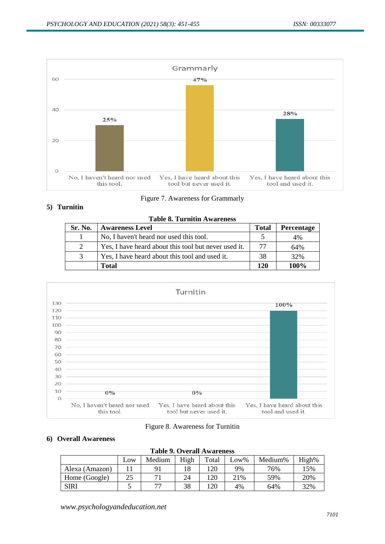

Figure 7. Awareness for Grammarly

# **5) Turnitin**

|               | <b>Table 8. Turnitin Awareness</b>                   |              |                   |  |  |  |  |  |  |
|---------------|------------------------------------------------------|--------------|-------------------|--|--|--|--|--|--|
| Sr. No.       | <b>Awareness Level</b>                               | <b>Total</b> | <b>Percentage</b> |  |  |  |  |  |  |
|               | No, I haven't heard nor used this tool.              |              | 4%                |  |  |  |  |  |  |
| $2^{\circ}$   | Yes, I have heard about this tool but never used it. | 77           | 64%               |  |  |  |  |  |  |
| $\mathcal{R}$ | Yes, I have heard about this tool and used it.       | 38           | 32%               |  |  |  |  |  |  |
|               | Total                                                | 120          | 100%              |  |  |  |  |  |  |



### Figure 8. Awareness for Turnitin

### **6) Overall Awareness**

| <b>Table 9. Overall Awareness</b> |     |        |      |       |      |         |       |  |  |
|-----------------------------------|-----|--------|------|-------|------|---------|-------|--|--|
|                                   | Low | Medium | High | Total | Low% | Medium% | High% |  |  |
| Alexa (Amazon)                    |     | 91     | 18   | 120   | 9%   | 76%     | 15%   |  |  |
| Home (Google)                     | 25  |        | 24   | 120   | 21%  | 59%     | 20%   |  |  |
| <b>SIRI</b>                       |     | 77     | 38   | 120   | 4%   | 64%     | 32%   |  |  |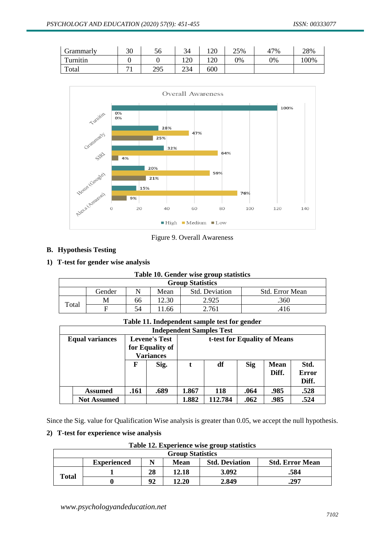| Grammarly | 30                       | 56  | 34  | 120 | 25% | 47% | 28%  |
|-----------|--------------------------|-----|-----|-----|-----|-----|------|
| Turnitin  |                          |     | 120 | 120 | 0%  | 0%  | 100% |
| Total     | $\overline{\phantom{a}}$ | 295 | 234 | 600 |     |     |      |



Figure 9. Overall Awareness

# **B. Hypothesis Testing**

# **1) T-test for gender wise analysis**

### **Table 10. Gender wise group statistics**

| <b>Group Statistics</b> |        |    |       |                       |                        |  |  |  |  |  |
|-------------------------|--------|----|-------|-----------------------|------------------------|--|--|--|--|--|
|                         | Gender |    | Mean  | <b>Std. Deviation</b> | <b>Std.</b> Error Mean |  |  |  |  |  |
| Total                   | M      | 66 | 12.30 | 2.925                 | .360                   |  |  |  |  |  |
|                         |        | 54 | 1.66  | 2.761                 | .416                   |  |  |  |  |  |

# **Table 11. Independent sample test for gender**

|                        | <b>Independent Samples Test</b> |                                                             |      |                              |         |            |                      |                               |  |
|------------------------|---------------------------------|-------------------------------------------------------------|------|------------------------------|---------|------------|----------------------|-------------------------------|--|
| <b>Equal variances</b> |                                 | <b>Levene's Test</b><br>for Equality of<br><b>Variances</b> |      | t-test for Equality of Means |         |            |                      |                               |  |
|                        |                                 | F                                                           | Sig. | t                            | df      | <b>Sig</b> | <b>Mean</b><br>Diff. | Std.<br><b>Error</b><br>Diff. |  |
|                        | <b>Assumed</b>                  | .161                                                        | .689 | 1.867                        | 118     | .064       | .985                 | .528                          |  |
|                        | <b>Not Assumed</b>              |                                                             |      | 1.882                        | 112.784 | .062       | .985                 | .524                          |  |

Since the Sig. value for Qualification Wise analysis is greater than 0.05, we accept the null hypothesis.

# **2) T-test for experience wise analysis**

**Table 12. Experience wise group statistics**

|              | <b>Group Statistics</b> |    |             |                       |                        |  |  |  |  |  |
|--------------|-------------------------|----|-------------|-----------------------|------------------------|--|--|--|--|--|
|              | <b>Experienced</b>      |    | <b>Mean</b> | <b>Std. Deviation</b> | <b>Std. Error Mean</b> |  |  |  |  |  |
| <b>Total</b> |                         | 28 | 12.18       | 3.092                 | .584                   |  |  |  |  |  |
|              |                         | 92 | 12.20       | 2.849                 | .297                   |  |  |  |  |  |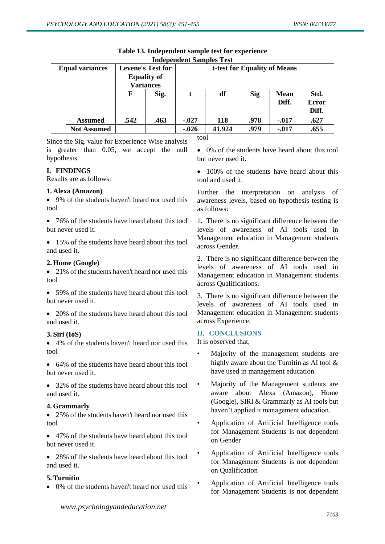|                                                                                    | <b>Independent Samples Test</b> |      |                    |         |            |            |             |              |  |  |
|------------------------------------------------------------------------------------|---------------------------------|------|--------------------|---------|------------|------------|-------------|--------------|--|--|
| <b>Levene's Test for</b><br><b>Equal variances</b><br>t-test for Equality of Means |                                 |      |                    |         |            |            |             |              |  |  |
|                                                                                    |                                 |      | <b>Equality of</b> |         |            |            |             |              |  |  |
|                                                                                    |                                 |      | <b>Variances</b>   |         |            |            |             |              |  |  |
|                                                                                    |                                 | F    | Sig.               |         | df         | <b>Sig</b> | <b>Mean</b> | Std.         |  |  |
|                                                                                    |                                 |      |                    |         |            |            | Diff.       | <b>Error</b> |  |  |
|                                                                                    |                                 |      |                    |         |            |            |             | Diff.        |  |  |
|                                                                                    | <b>Assumed</b>                  | .542 | .463               | $-.027$ | <b>118</b> | .978       | $-.017$     | .627         |  |  |
|                                                                                    | <b>Not Assumed</b>              |      |                    | $-.026$ | 41.924     | .979       | $-.017$     | .655         |  |  |

### **Table 13. Independent sample test for experience**

Since the Sig. value for Experience Wise analysis is greater than 0.05, we accept the null hypothesis.

### **I. FINDINGS**

Results are as follows:

### **1. Alexa (Amazon)**

 9% of the students haven't heard nor used this tool

• 76% of the students have heard about this tool but never used it.

• 15% of the students have heard about this tool and used it.

#### **2. Home (Google)**

• 21% of the students haven't heard nor used this tool

 59% of the students have heard about this tool but never used it.

• 20% of the students have heard about this tool and used it.

### **3. Siri (IoS)**

 4% of the students haven't heard nor used this tool

 64% of the students have heard about this tool but never used it.

• 32% of the students have heard about this tool and used it.

### **4. Grammarly**

• 25% of the students haven't heard nor used this tool

 47% of the students have heard about this tool but never used it.

• 28% of the students have heard about this tool and used it.

### **5. Turnitin**

0% of the students haven't heard nor used this

tool

- 0% of the students have heard about this tool but never used it.
- 100% of the students have heard about this tool and used it.

Further the interpretation on analysis of awareness levels, based on hypothesis testing is as follows:

1. There is no significant difference between the levels of awareness of AI tools used in Management education in Management students across Gender.

2. There is no significant difference between the levels of awareness of AI tools used in Management education in Management students across Qualifications.

3. There is no significant difference between the levels of awareness of AI tools used in Management education in Management students across Experience.

### **II. CONCLUSIONS**

It is observed that,

- Majority of the management students are highly aware about the Turnitin as AI tool & have used in management education.
- Majority of the Management students are aware about Alexa (Amazon), Home (Google), SIRI & Grammarly as AI tools but haven't applied it management education.
- Application of Artificial Intelligence tools for Management Students is not dependent on Gender
- Application of Artificial Intelligence tools for Management Students is not dependent on Qualification
- Application of Artificial Intelligence tools for Management Students is not dependent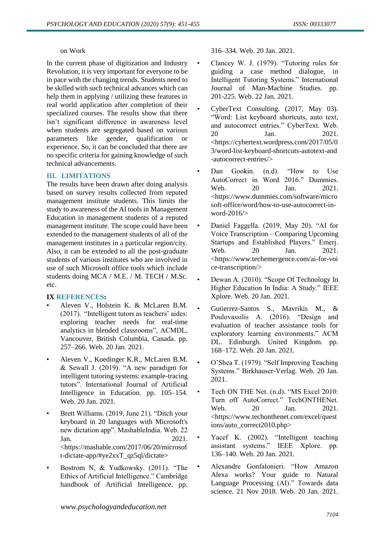#### on Work

In the current phase of digitization and Industry Revolution, it is very important for everyone to be in pace with the changing trends. Students need to be skilled with such technical advances which can help them in applying / utilizing these features in real world application after completion of their specialized courses. The results show that there isn't significant difference in awareness level when students are segregated based on various parameters like gender, qualification or experience. So, it can be concluded that there are no specific criteria for gaining knowledge of such technical advancements.

### **III. LIMITATIONS**

The results have been drawn after doing analysis based on survey results collected from reputed management institute students. This limits the study to awareness of the AI tools in Management Education in management students of a reputed management institute. The scope could have been extended to the management students of all of the management institutes in a particular region/city. Also, it can be extended to all the post-graduate students of various institutes who are involved in use of such Microsoft office tools which include students doing MCA / M.E. / M. TECH / M.Sc. etc.

### **IX REFERENCES:**

- Aleven V., Holstein K. & McLaren B.M. (2017). "Intelligent tutors as teachers' aides: exploring teacher needs for real-time analytics in blended classrooms", ACMDL, Vancouver, British Columbia, Canada. pp. 257–266. Web. 20 Jan. 2021.
- Aleven V., Koedinger K.R., McLaren B.M. & Sewall J. (2019). "A new paradigm for intelligent tutoring systems: example-tracing tutors". International Journal of Artificial Intelligence in Education. pp. 105–154. Web. 20 Jan. 2021.
- Brett Williams. (2019, June 21). "Ditch your keyboard in 20 languages with Microsoft's new dictation app". MashableIndia. Web. 22 Jan. 2021. <https://mashable.com/2017/06/20/microsof t-dictate-app/#ye2xxT\_qz5ql/dictate>
- Bostrom N, & Yudkowsky. (2011). "The Ethics of Artificial Intelligence." Cambridge handbook of Artificial Intelligence. pp.

316–334. Web. 20 Jan. 2021.

- Clancey W. J. (1979). "Tutoring rules for guiding a case method dialogue, in Intelligent Tutoring Systems." International Journal of Man-Machine Studies. pp. 201-225. Web. 22 Jan. 2021.
- CyberText Consulting. (2017, May 03). "Word: List keyboard shortcuts, auto text, and autocorrect entries." CyberText. Web. 20 Jan. 2021. <https://cybertext.wordpress.com/2017/05/0 3/word-list-keyboard-shortcuts-autotext-and -autocorrect-entries/>
- Dan Gookin. (n.d). "How to Use AutoCorrect in Word 2016." Dummies. Web. 20 Jan. 2021. <https://www.dummies.com/software/micro soft-office/word/how-to-use-autocorrect-inword-2016/>
- Daniel Faggella. (2019, May 20). "AI for Voice Transcription – Comparing Upcoming Startups and Established Players." Emerj. Web. 20 Jan. 2021. <https://www.techemergence.com/ai-for-voi ce-transcription/>
- Dewan A. (2010). "Scope Of Technology In Higher Education In India: A Study." IEEE Xplore. Web. 20 Jan. 2021.
- Gutierrez-Santos S., Mavrikis M., & Poulovassilis A. (2016). "Design and evaluation of teacher assistance tools for exploratory learning environments." ACM DL. Edinburgh. United Kingdom. pp. 168–172. Web. 20 Jan. 2021.
- O'Shea T. (1979). "Self Improving Teaching Systems." Birkhauser-Verlag. Web. 20 Jan. 2021.
- Tech ON THE Net. (n.d). "MS Excel 2010: Turn off AutoCorrect." TechONTHENet. Web. 20 Jan. 2021. <https://www.techonthenet.com/excel/quest ions/auto\_correct2010.php>
- Yacef K. (2002). "Intelligent teaching assistant systems." IEEE Xplore. pp. 136–140. Web. 20 Jan. 2021.
- Alexandre Gonfalonieri. "How Amazon Alexa works? Your guide to Natural Language Processing (AI)." Towards data science. 21 Nov 2018. Web. 20 Jan. 2021.